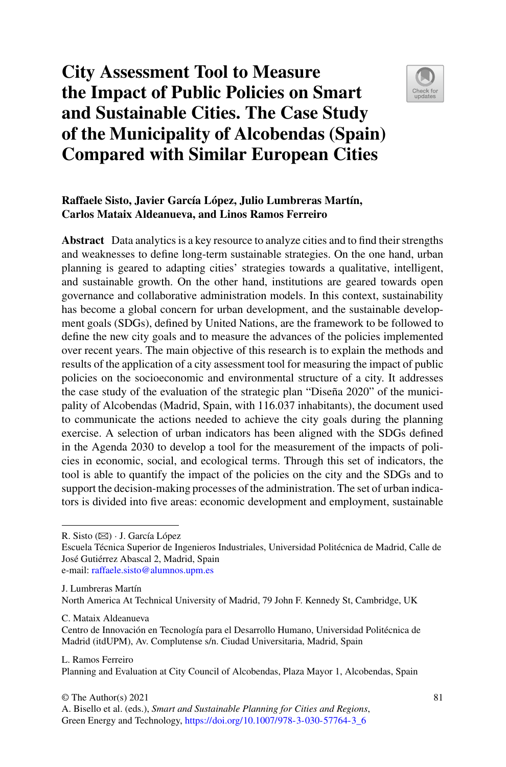# **City Assessment Tool to Measure the Impact of Public Policies on Smart and Sustainable Cities. The Case Study of the Municipality of Alcobendas (Spain) Compared with Similar European Cities**



## **Raffaele Sisto, Javier García López, Julio Lumbreras Martín, Carlos Mataix Aldeanueva, and Linos Ramos Ferreiro**

**Abstract** Data analytics is a key resource to analyze cities and to find their strengths and weaknesses to define long-term sustainable strategies. On the one hand, urban planning is geared to adapting cities' strategies towards a qualitative, intelligent, and sustainable growth. On the other hand, institutions are geared towards open governance and collaborative administration models. In this context, sustainability has become a global concern for urban development, and the sustainable development goals (SDGs), defined by United Nations, are the framework to be followed to define the new city goals and to measure the advances of the policies implemented over recent years. The main objective of this research is to explain the methods and results of the application of a city assessment tool for measuring the impact of public policies on the socioeconomic and environmental structure of a city. It addresses the case study of the evaluation of the strategic plan "Diseña 2020" of the municipality of Alcobendas (Madrid, Spain, with 116.037 inhabitants), the document used to communicate the actions needed to achieve the city goals during the planning exercise. A selection of urban indicators has been aligned with the SDGs defined in the Agenda 2030 to develop a tool for the measurement of the impacts of policies in economic, social, and ecological terms. Through this set of indicators, the tool is able to quantify the impact of the policies on the city and the SDGs and to support the decision-making processes of the administration. The set of urban indicators is divided into five areas: economic development and employment, sustainable

R. Sisto (B) · J. García López

Escuela Técnica Superior de Ingenieros Industriales, Universidad Politécnica de Madrid, Calle de José Gutiérrez Abascal 2, Madrid, Spain e-mail: [raffaele.sisto@alumnos.upm.es](mailto:raffaele.sisto@alumnos.upm.es)

J. Lumbreras Martín North America At Technical University of Madrid, 79 John F. Kennedy St, Cambridge, UK

C. Mataix Aldeanueva

Centro de Innovación en Tecnología para el Desarrollo Humano, Universidad Politécnica de Madrid (itdUPM), Av. Complutense s/n. Ciudad Universitaria, Madrid, Spain

L. Ramos Ferreiro Planning and Evaluation at City Council of Alcobendas, Plaza Mayor 1, Alcobendas, Spain

A. Bisello et al. (eds.), *Smart and Sustainable Planning for Cities and Regions*, Green Energy and Technology, [https://doi.org/10.1007/978-3-030-57764-3\\_6](https://doi.org/10.1007/978-3-030-57764-3_6)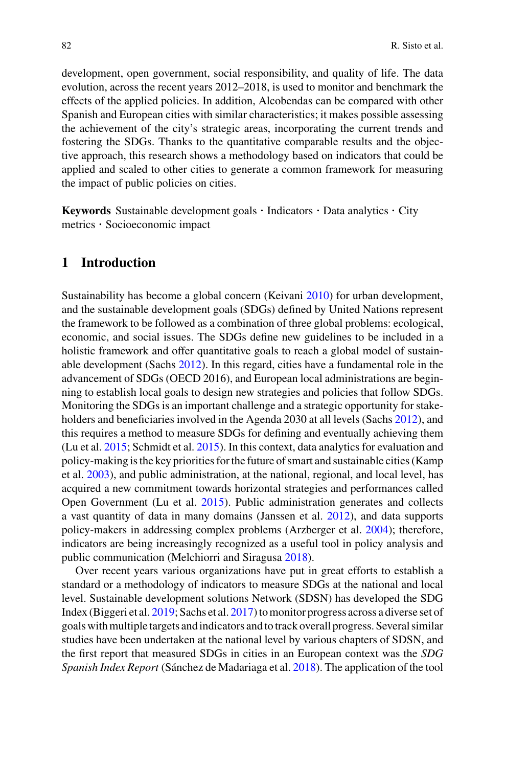development, open government, social responsibility, and quality of life. The data evolution, across the recent years 2012–2018, is used to monitor and benchmark the effects of the applied policies. In addition, Alcobendas can be compared with other Spanish and European cities with similar characteristics; it makes possible assessing the achievement of the city's strategic areas, incorporating the current trends and fostering the SDGs. Thanks to the quantitative comparable results and the objective approach, this research shows a methodology based on indicators that could be applied and scaled to other cities to generate a common framework for measuring the impact of public policies on cities.

**Keywords** Sustainable development goals · Indicators · Data analytics · City metrics · Socioeconomic impact

### **1 Introduction**

Sustainability has become a global concern (Keivani [2010\)](#page-19-0) for urban development, and the sustainable development goals (SDGs) defined by United Nations represent the framework to be followed as a combination of three global problems: ecological, economic, and social issues. The SDGs define new guidelines to be included in a holistic framework and offer quantitative goals to reach a global model of sustainable development (Sachs [2012\)](#page-19-1). In this regard, cities have a fundamental role in the advancement of SDGs (OECD 2016), and European local administrations are beginning to establish local goals to design new strategies and policies that follow SDGs. Monitoring the SDGs is an important challenge and a strategic opportunity for stakeholders and beneficiaries involved in the Agenda 2030 at all levels (Sachs [2012\)](#page-19-1), and this requires a method to measure SDGs for defining and eventually achieving them (Lu et al. [2015;](#page-19-2) Schmidt et al. [2015\)](#page-19-3). In this context, data analytics for evaluation and policy-making is the key priorities for the future of smart and sustainable cities (Kamp et al. [2003\)](#page-19-4), and public administration, at the national, regional, and local level, has acquired a new commitment towards horizontal strategies and performances called Open Government (Lu et al. [2015\)](#page-19-2). Public administration generates and collects a vast quantity of data in many domains (Janssen et al. [2012\)](#page-19-5), and data supports policy-makers in addressing complex problems (Arzberger et al. [2004\)](#page-19-6); therefore, indicators are being increasingly recognized as a useful tool in policy analysis and public communication (Melchiorri and Siragusa [2018\)](#page-19-7).

Over recent years various organizations have put in great efforts to establish a standard or a methodology of indicators to measure SDGs at the national and local level. Sustainable development solutions Network (SDSN) has developed the SDG Index (Biggeri et al. [2019;](#page-19-8) Sachs et al. [2017\)](#page-19-9) to monitor progress across a diverse set of goals with multiple targets and indicators and to track overall progress. Several similar studies have been undertaken at the national level by various chapters of SDSN, and the first report that measured SDGs in cities in an European context was the *SDG Spanish Index Report* (Sánchez de Madariaga et al. [2018\)](#page-19-10). The application of the tool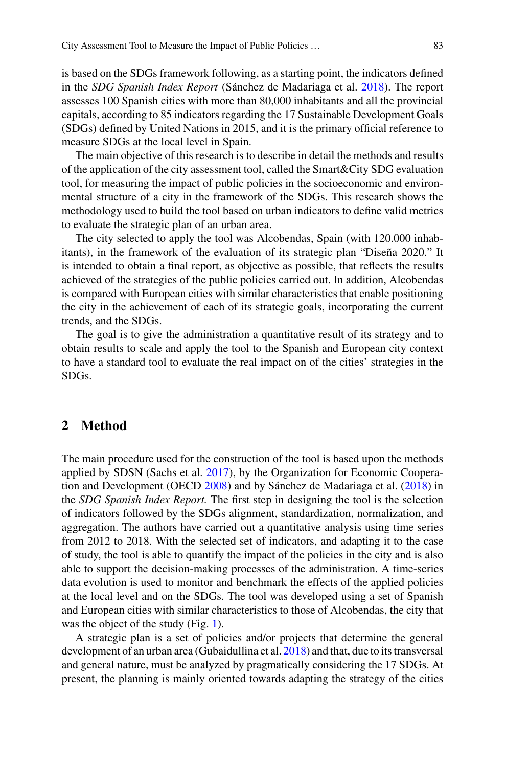is based on the SDGs framework following, as a starting point, the indicators defined in the *SDG Spanish Index Report* (Sánchez de Madariaga et al. [2018\)](#page-19-10). The report assesses 100 Spanish cities with more than 80,000 inhabitants and all the provincial capitals, according to 85 indicators regarding the 17 Sustainable Development Goals (SDGs) defined by United Nations in 2015, and it is the primary official reference to measure SDGs at the local level in Spain.

The main objective of this research is to describe in detail the methods and results of the application of the city assessment tool, called the Smart&City SDG evaluation tool, for measuring the impact of public policies in the socioeconomic and environmental structure of a city in the framework of the SDGs. This research shows the methodology used to build the tool based on urban indicators to define valid metrics to evaluate the strategic plan of an urban area.

The city selected to apply the tool was Alcobendas, Spain (with 120.000 inhabitants), in the framework of the evaluation of its strategic plan "Diseña 2020." It is intended to obtain a final report, as objective as possible, that reflects the results achieved of the strategies of the public policies carried out. In addition, Alcobendas is compared with European cities with similar characteristics that enable positioning the city in the achievement of each of its strategic goals, incorporating the current trends, and the SDGs.

The goal is to give the administration a quantitative result of its strategy and to obtain results to scale and apply the tool to the Spanish and European city context to have a standard tool to evaluate the real impact on of the cities' strategies in the SDGs.

#### **2 Method**

The main procedure used for the construction of the tool is based upon the methods applied by SDSN (Sachs et al. [2017\)](#page-19-9), by the Organization for Economic Cooperation and Development (OECD [2008\)](#page-19-11) and by Sánchez de Madariaga et al. [\(2018\)](#page-19-10) in the *SDG Spanish Index Report.* The first step in designing the tool is the selection of indicators followed by the SDGs alignment, standardization, normalization, and aggregation. The authors have carried out a quantitative analysis using time series from 2012 to 2018. With the selected set of indicators, and adapting it to the case of study, the tool is able to quantify the impact of the policies in the city and is also able to support the decision-making processes of the administration. A time-series data evolution is used to monitor and benchmark the effects of the applied policies at the local level and on the SDGs. The tool was developed using a set of Spanish and European cities with similar characteristics to those of Alcobendas, the city that was the object of the study (Fig. [1\)](#page-3-0).

A strategic plan is a set of policies and/or projects that determine the general development of an urban area (Gubaidullina et al. [2018\)](#page-19-12) and that, due to its transversal and general nature, must be analyzed by pragmatically considering the 17 SDGs. At present, the planning is mainly oriented towards adapting the strategy of the cities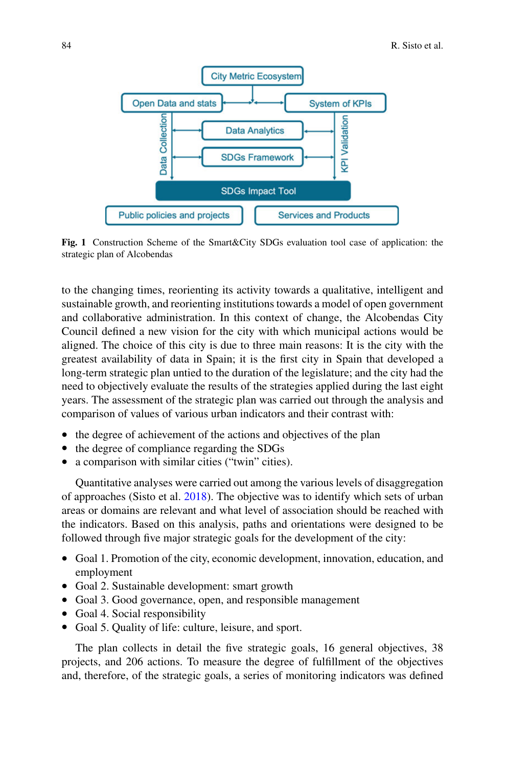

<span id="page-3-0"></span>**Fig. 1** Construction Scheme of the Smart&City SDGs evaluation tool case of application: the strategic plan of Alcobendas

to the changing times, reorienting its activity towards a qualitative, intelligent and sustainable growth, and reorienting institutions towards a model of open government and collaborative administration. In this context of change, the Alcobendas City Council defined a new vision for the city with which municipal actions would be aligned. The choice of this city is due to three main reasons: It is the city with the greatest availability of data in Spain; it is the first city in Spain that developed a long-term strategic plan untied to the duration of the legislature; and the city had the need to objectively evaluate the results of the strategies applied during the last eight years. The assessment of the strategic plan was carried out through the analysis and comparison of values of various urban indicators and their contrast with:

- the degree of achievement of the actions and objectives of the plan
- the degree of compliance regarding the SDGs
- a comparison with similar cities ("twin" cities).

Quantitative analyses were carried out among the various levels of disaggregation of approaches (Sisto et al. [2018\)](#page-19-13). The objective was to identify which sets of urban areas or domains are relevant and what level of association should be reached with the indicators. Based on this analysis, paths and orientations were designed to be followed through five major strategic goals for the development of the city:

- Goal 1. Promotion of the city, economic development, innovation, education, and employment
- Goal 2. Sustainable development: smart growth
- Goal 3. Good governance, open, and responsible management
- Goal 4. Social responsibility
- Goal 5. Quality of life: culture, leisure, and sport.

The plan collects in detail the five strategic goals, 16 general objectives, 38 projects, and 206 actions. To measure the degree of fulfillment of the objectives and, therefore, of the strategic goals, a series of monitoring indicators was defined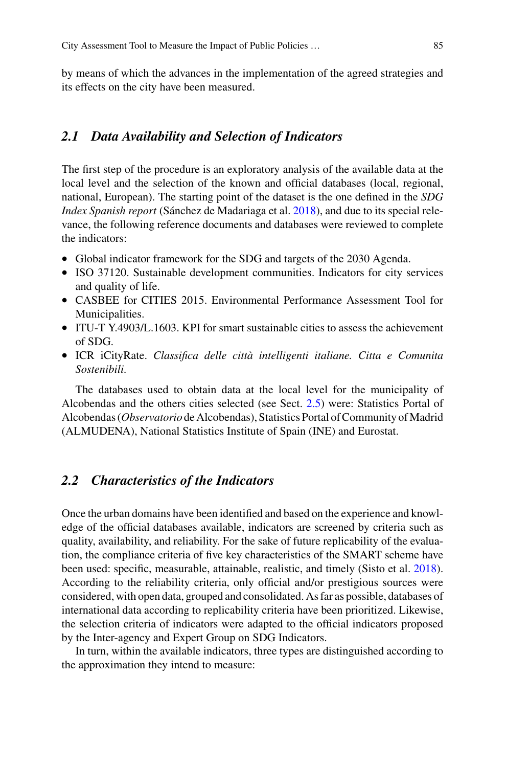by means of which the advances in the implementation of the agreed strategies and its effects on the city have been measured.

#### *2.1 Data Availability and Selection of Indicators*

The first step of the procedure is an exploratory analysis of the available data at the local level and the selection of the known and official databases (local, regional, national, European). The starting point of the dataset is the one defined in the *SDG Index Spanish report* (Sánchez de Madariaga et al. [2018\)](#page-19-10), and due to its special relevance, the following reference documents and databases were reviewed to complete the indicators:

- Global indicator framework for the SDG and targets of the 2030 Agenda.
- ISO 37120. Sustainable development communities. Indicators for city services and quality of life.
- CASBEE for CITIES 2015. Environmental Performance Assessment Tool for Municipalities.
- ITU-T Y.4903/L, 1603. KPI for smart sustainable cities to assess the achievement of SDG.
- ICR iCityRate. *Classifica delle città intelligenti italiane. Citta e Comunita Sostenibili*.

The databases used to obtain data at the local level for the municipality of Alcobendas and the others cities selected (see Sect. [2.5\)](#page-6-0) were: Statistics Portal of Alcobendas (*Observatorio* de Alcobendas), Statistics Portal of Community of Madrid (ALMUDENA), National Statistics Institute of Spain (INE) and Eurostat.

## *2.2 Characteristics of the Indicators*

Once the urban domains have been identified and based on the experience and knowledge of the official databases available, indicators are screened by criteria such as quality, availability, and reliability. For the sake of future replicability of the evaluation, the compliance criteria of five key characteristics of the SMART scheme have been used: specific, measurable, attainable, realistic, and timely (Sisto et al. [2018\)](#page-19-13). According to the reliability criteria, only official and/or prestigious sources were considered, with open data, grouped and consolidated. As far as possible, databases of international data according to replicability criteria have been prioritized. Likewise, the selection criteria of indicators were adapted to the official indicators proposed by the Inter-agency and Expert Group on SDG Indicators.

In turn, within the available indicators, three types are distinguished according to the approximation they intend to measure: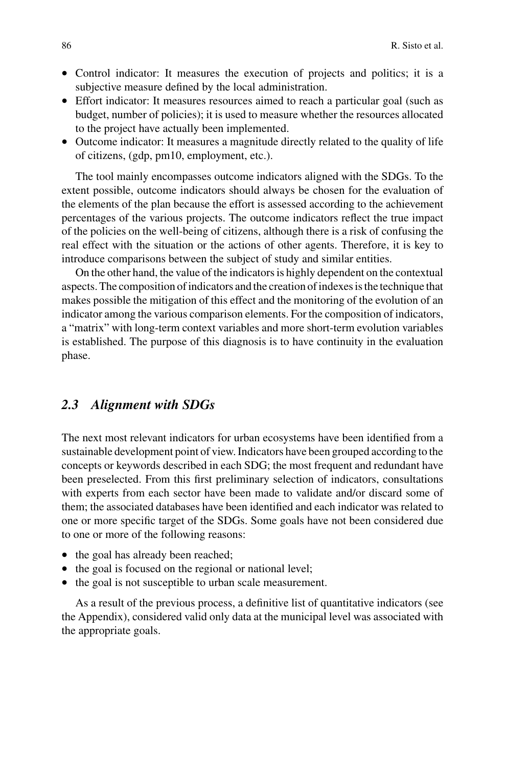- Control indicator: It measures the execution of projects and politics; it is a subjective measure defined by the local administration.
- Effort indicator: It measures resources aimed to reach a particular goal (such as budget, number of policies); it is used to measure whether the resources allocated to the project have actually been implemented.
- Outcome indicator: It measures a magnitude directly related to the quality of life of citizens, (gdp, pm10, employment, etc.).

The tool mainly encompasses outcome indicators aligned with the SDGs. To the extent possible, outcome indicators should always be chosen for the evaluation of the elements of the plan because the effort is assessed according to the achievement percentages of the various projects. The outcome indicators reflect the true impact of the policies on the well-being of citizens, although there is a risk of confusing the real effect with the situation or the actions of other agents. Therefore, it is key to introduce comparisons between the subject of study and similar entities.

On the other hand, the value of the indicators is highly dependent on the contextual aspects. The composition of indicators and the creation of indexes is the technique that makes possible the mitigation of this effect and the monitoring of the evolution of an indicator among the various comparison elements. For the composition of indicators, a "matrix" with long-term context variables and more short-term evolution variables is established. The purpose of this diagnosis is to have continuity in the evaluation phase.

### *2.3 Alignment with SDGs*

The next most relevant indicators for urban ecosystems have been identified from a sustainable development point of view. Indicators have been grouped according to the concepts or keywords described in each SDG; the most frequent and redundant have been preselected. From this first preliminary selection of indicators, consultations with experts from each sector have been made to validate and/or discard some of them; the associated databases have been identified and each indicator was related to one or more specific target of the SDGs. Some goals have not been considered due to one or more of the following reasons:

- the goal has already been reached;
- the goal is focused on the regional or national level;
- the goal is not susceptible to urban scale measurement.

As a result of the previous process, a definitive list of quantitative indicators (see the Appendix), considered valid only data at the municipal level was associated with the appropriate goals.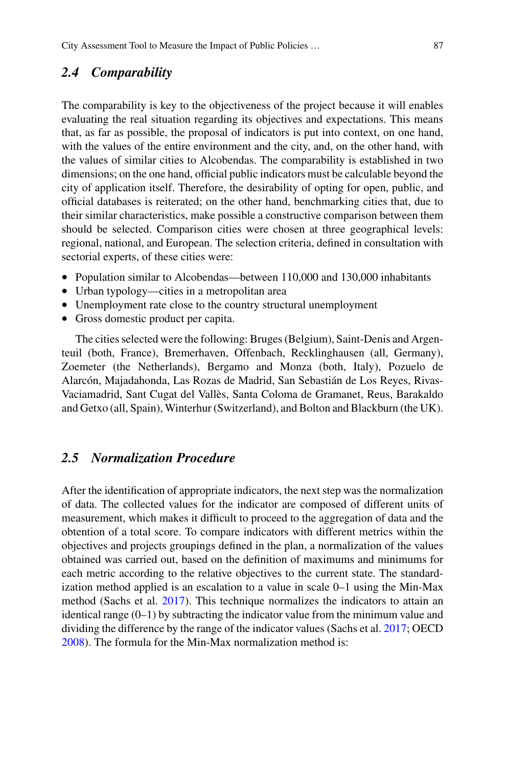#### *2.4 Comparability*

The comparability is key to the objectiveness of the project because it will enables evaluating the real situation regarding its objectives and expectations. This means that, as far as possible, the proposal of indicators is put into context, on one hand, with the values of the entire environment and the city, and, on the other hand, with the values of similar cities to Alcobendas. The comparability is established in two dimensions; on the one hand, official public indicators must be calculable beyond the city of application itself. Therefore, the desirability of opting for open, public, and official databases is reiterated; on the other hand, benchmarking cities that, due to their similar characteristics, make possible a constructive comparison between them should be selected. Comparison cities were chosen at three geographical levels: regional, national, and European. The selection criteria, defined in consultation with sectorial experts, of these cities were:

- Population similar to Alcobendas—between 110,000 and 130,000 inhabitants
- Urban typology—cities in a metropolitan area
- Unemployment rate close to the country structural unemployment
- Gross domestic product per capita.

The cities selected were the following: Bruges (Belgium), Saint-Denis and Argenteuil (both, France), Bremerhaven, Offenbach, Recklinghausen (all, Germany), Zoemeter (the Netherlands), Bergamo and Monza (both, Italy), Pozuelo de Alarcón, Majadahonda, Las Rozas de Madrid, San Sebastián de Los Reyes, Rivas-Vaciamadrid, Sant Cugat del Vallès, Santa Coloma de Gramanet, Reus, Barakaldo and Getxo (all, Spain), Winterhur (Switzerland), and Bolton and Blackburn (the UK).

## <span id="page-6-0"></span>*2.5 Normalization Procedure*

After the identification of appropriate indicators, the next step was the normalization of data. The collected values for the indicator are composed of different units of measurement, which makes it difficult to proceed to the aggregation of data and the obtention of a total score. To compare indicators with different metrics within the objectives and projects groupings defined in the plan, a normalization of the values obtained was carried out, based on the definition of maximums and minimums for each metric according to the relative objectives to the current state. The standardization method applied is an escalation to a value in scale 0–1 using the Min-Max method (Sachs et al. [2017\)](#page-19-9). This technique normalizes the indicators to attain an identical range  $(0-1)$  by subtracting the indicator value from the minimum value and dividing the difference by the range of the indicator values (Sachs et al. [2017;](#page-19-9) OECD [2008\)](#page-19-11). The formula for the Min-Max normalization method is: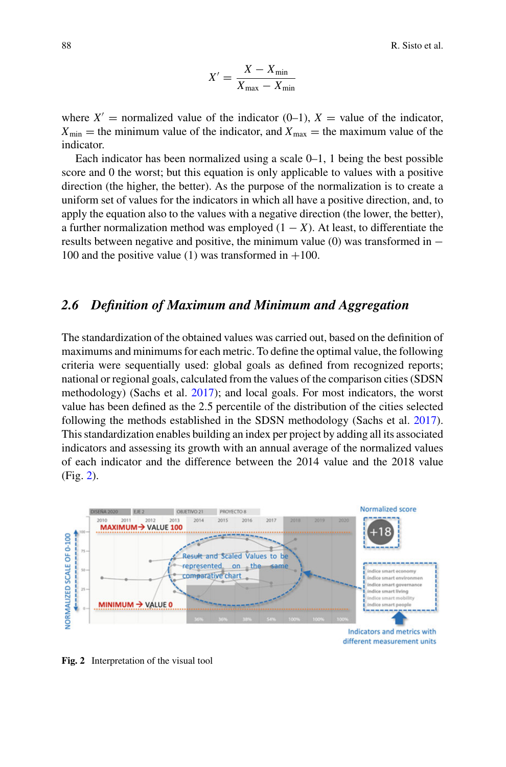$$
X' = \frac{X - X_{\min}}{X_{\max} - X_{\min}}
$$

where  $X'$  = normalized value of the indicator (0–1),  $X$  = value of the indicator,  $X_{\text{min}}$  = the minimum value of the indicator, and  $X_{\text{max}}$  = the maximum value of the indicator.

Each indicator has been normalized using a scale 0–1, 1 being the best possible score and 0 the worst; but this equation is only applicable to values with a positive direction (the higher, the better). As the purpose of the normalization is to create a uniform set of values for the indicators in which all have a positive direction, and, to apply the equation also to the values with a negative direction (the lower, the better), a further normalization method was employed  $(1 - X)$ . At least, to differentiate the results between negative and positive, the minimum value (0) was transformed in  $-$ 100 and the positive value (1) was transformed in  $+100$ .

#### *2.6 Definition of Maximum and Minimum and Aggregation*

The standardization of the obtained values was carried out, based on the definition of maximums and minimums for each metric. To define the optimal value, the following criteria were sequentially used: global goals as defined from recognized reports; national or regional goals, calculated from the values of the comparison cities (SDSN methodology) (Sachs et al. [2017\)](#page-19-9); and local goals. For most indicators, the worst value has been defined as the 2.5 percentile of the distribution of the cities selected following the methods established in the SDSN methodology (Sachs et al. [2017\)](#page-19-9). This standardization enables building an index per project by adding all its associated indicators and assessing its growth with an annual average of the normalized values of each indicator and the difference between the 2014 value and the 2018 value (Fig. [2\)](#page-7-0).



<span id="page-7-0"></span>**Fig. 2** Interpretation of the visual tool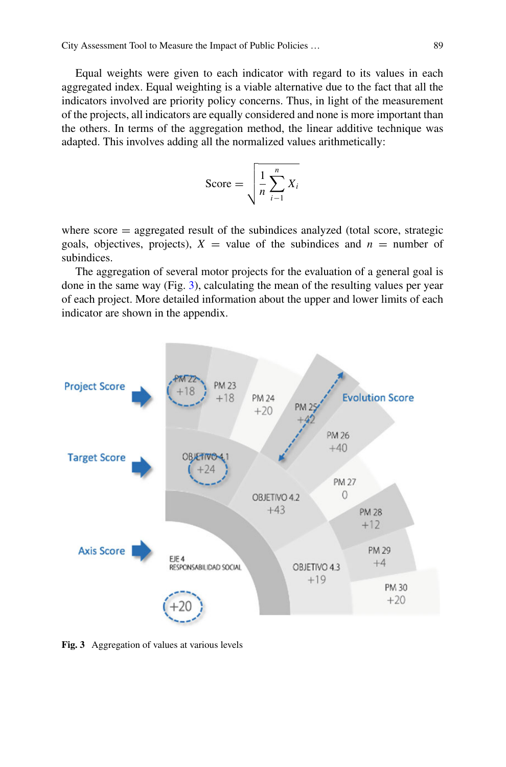Equal weights were given to each indicator with regard to its values in each aggregated index. Equal weighting is a viable alternative due to the fact that all the indicators involved are priority policy concerns. Thus, in light of the measurement of the projects, all indicators are equally considered and none is more important than the others. In terms of the aggregation method, the linear additive technique was adapted. This involves adding all the normalized values arithmetically:

$$
\text{Score} = \sqrt{\frac{1}{n} \sum_{i=1}^{n} X_i}
$$

where  $score = aggregated$  result of the subindices analyzed (total score, strategic goals, objectives, projects),  $X =$  value of the subindices and  $n =$  number of subindices.

The aggregation of several motor projects for the evaluation of a general goal is done in the same way (Fig. [3\)](#page-8-0), calculating the mean of the resulting values per year of each project. More detailed information about the upper and lower limits of each indicator are shown in the appendix.



<span id="page-8-0"></span>**Fig. 3** Aggregation of values at various levels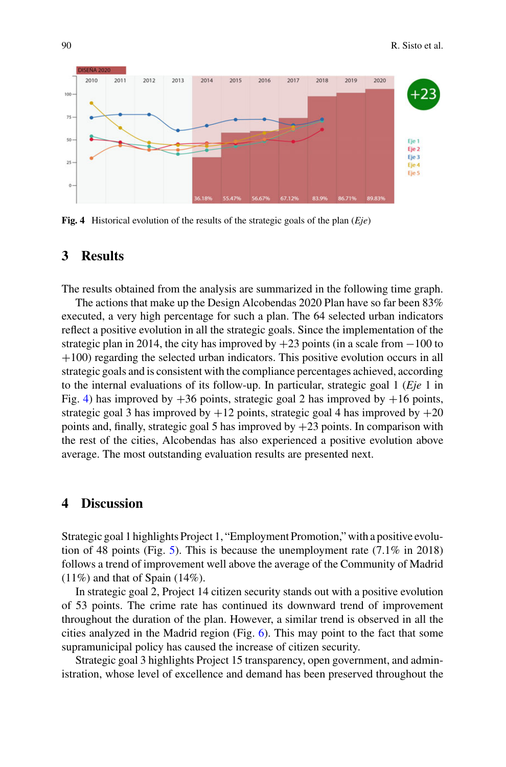

<span id="page-9-0"></span>**Fig. 4** Historical evolution of the results of the strategic goals of the plan (*Eje*)

## **3 Results**

The results obtained from the analysis are summarized in the following time graph.

The actions that make up the Design Alcobendas 2020 Plan have so far been 83% executed, a very high percentage for such a plan. The 64 selected urban indicators reflect a positive evolution in all the strategic goals. Since the implementation of the strategic plan in 2014, the city has improved by  $+23$  points (in a scale from  $-100$  to +100) regarding the selected urban indicators. This positive evolution occurs in all strategic goals and is consistent with the compliance percentages achieved, according to the internal evaluations of its follow-up. In particular, strategic goal 1 (*Eje* 1 in Fig. [4\)](#page-9-0) has improved by  $+36$  points, strategic goal 2 has improved by  $+16$  points, strategic goal 3 has improved by  $+12$  points, strategic goal 4 has improved by  $+20$ points and, finally, strategic goal 5 has improved by  $+23$  points. In comparison with the rest of the cities, Alcobendas has also experienced a positive evolution above average. The most outstanding evaluation results are presented next.

#### **4 Discussion**

Strategic goal 1 highlights Project 1, "Employment Promotion," with a positive evolu-tion of 48 points (Fig. [5\)](#page-10-0). This is because the unemployment rate  $(7.1\%$  in 2018) follows a trend of improvement well above the average of the Community of Madrid  $(11\%)$  and that of Spain  $(14\%)$ .

In strategic goal 2, Project 14 citizen security stands out with a positive evolution of 53 points. The crime rate has continued its downward trend of improvement throughout the duration of the plan. However, a similar trend is observed in all the cities analyzed in the Madrid region (Fig. [6\)](#page-10-1). This may point to the fact that some supramunicipal policy has caused the increase of citizen security.

Strategic goal 3 highlights Project 15 transparency, open government, and administration, whose level of excellence and demand has been preserved throughout the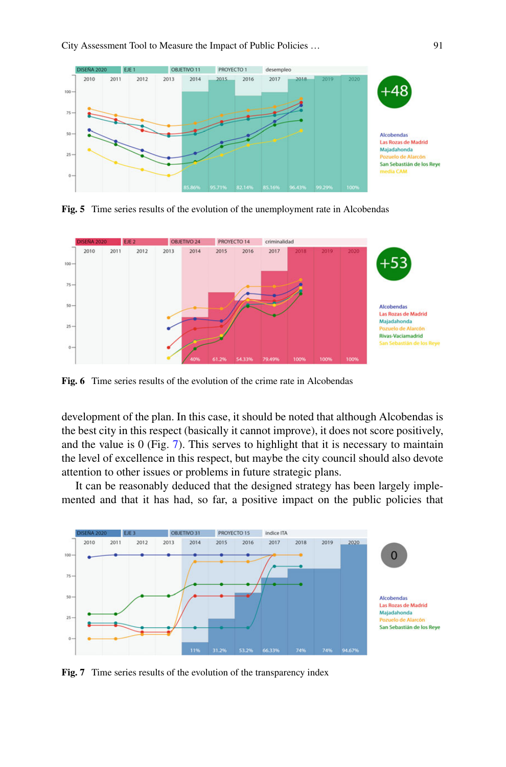

<span id="page-10-0"></span>**Fig. 5** Time series results of the evolution of the unemployment rate in Alcobendas



<span id="page-10-1"></span>**Fig. 6** Time series results of the evolution of the crime rate in Alcobendas

development of the plan. In this case, it should be noted that although Alcobendas is the best city in this respect (basically it cannot improve), it does not score positively, and the value is 0 (Fig. [7\)](#page-10-2). This serves to highlight that it is necessary to maintain the level of excellence in this respect, but maybe the city council should also devote attention to other issues or problems in future strategic plans.

It can be reasonably deduced that the designed strategy has been largely implemented and that it has had, so far, a positive impact on the public policies that



<span id="page-10-2"></span>**Fig. 7** Time series results of the evolution of the transparency index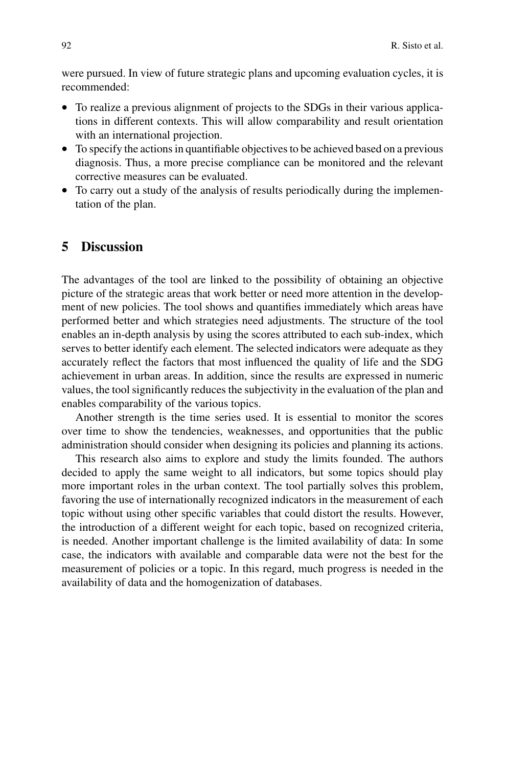were pursued. In view of future strategic plans and upcoming evaluation cycles, it is recommended:

- To realize a previous alignment of projects to the SDGs in their various applications in different contexts. This will allow comparability and result orientation with an international projection.
- To specify the actions in quantifiable objectives to be achieved based on a previous diagnosis. Thus, a more precise compliance can be monitored and the relevant corrective measures can be evaluated.
- To carry out a study of the analysis of results periodically during the implementation of the plan.

#### **5 Discussion**

The advantages of the tool are linked to the possibility of obtaining an objective picture of the strategic areas that work better or need more attention in the development of new policies. The tool shows and quantifies immediately which areas have performed better and which strategies need adjustments. The structure of the tool enables an in-depth analysis by using the scores attributed to each sub-index, which serves to better identify each element. The selected indicators were adequate as they accurately reflect the factors that most influenced the quality of life and the SDG achievement in urban areas. In addition, since the results are expressed in numeric values, the tool significantly reduces the subjectivity in the evaluation of the plan and enables comparability of the various topics.

Another strength is the time series used. It is essential to monitor the scores over time to show the tendencies, weaknesses, and opportunities that the public administration should consider when designing its policies and planning its actions.

This research also aims to explore and study the limits founded. The authors decided to apply the same weight to all indicators, but some topics should play more important roles in the urban context. The tool partially solves this problem, favoring the use of internationally recognized indicators in the measurement of each topic without using other specific variables that could distort the results. However, the introduction of a different weight for each topic, based on recognized criteria, is needed. Another important challenge is the limited availability of data: In some case, the indicators with available and comparable data were not the best for the measurement of policies or a topic. In this regard, much progress is needed in the availability of data and the homogenization of databases.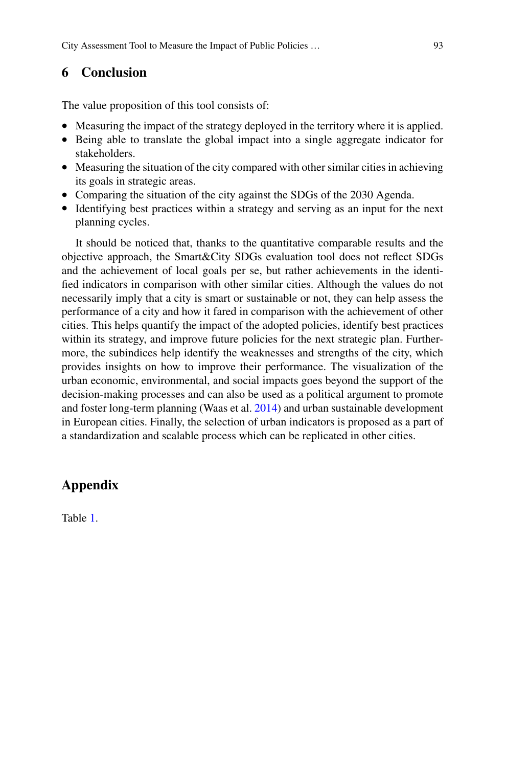## **6 Conclusion**

The value proposition of this tool consists of:

- Measuring the impact of the strategy deployed in the territory where it is applied.
- Being able to translate the global impact into a single aggregate indicator for stakeholders.
- Measuring the situation of the city compared with other similar cities in achieving its goals in strategic areas.
- Comparing the situation of the city against the SDGs of the 2030 Agenda.
- Identifying best practices within a strategy and serving as an input for the next planning cycles.

It should be noticed that, thanks to the quantitative comparable results and the objective approach, the Smart&City SDGs evaluation tool does not reflect SDGs and the achievement of local goals per se, but rather achievements in the identified indicators in comparison with other similar cities. Although the values do not necessarily imply that a city is smart or sustainable or not, they can help assess the performance of a city and how it fared in comparison with the achievement of other cities. This helps quantify the impact of the adopted policies, identify best practices within its strategy, and improve future policies for the next strategic plan. Furthermore, the subindices help identify the weaknesses and strengths of the city, which provides insights on how to improve their performance. The visualization of the urban economic, environmental, and social impacts goes beyond the support of the decision-making processes and can also be used as a political argument to promote and foster long-term planning (Waas et al. [2014\)](#page-19-14) and urban sustainable development in European cities. Finally, the selection of urban indicators is proposed as a part of a standardization and scalable process which can be replicated in other cities.

# **Appendix**

Table [1.](#page-13-0)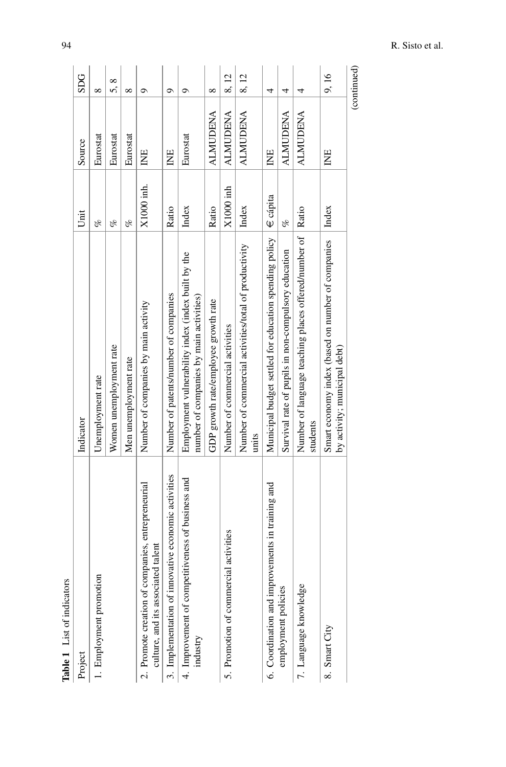<span id="page-13-0"></span>

| <b>Table 1</b> List of indicators                                                       |                                                                                               |             |                 |             |
|-----------------------------------------------------------------------------------------|-----------------------------------------------------------------------------------------------|-------------|-----------------|-------------|
| Project                                                                                 | Indicator                                                                                     | Unit        | Source          | <b>SDG</b>  |
| $\overline{a}$<br>1. Employment promoti                                                 | Unemployment rate                                                                             | of          | Eurostat        | $\infty$    |
|                                                                                         | Women unemployment rate                                                                       | of          | Eurostat        | ∞<br>ທ່     |
|                                                                                         | Men unemployment rate                                                                         | of          | Eurostat        | ∞           |
| 2. Promote creation of companies, entrepreneurial<br>culture, and its associated talent | Number of companies by main activity                                                          | X1000 inh.  | INE             | $\circ$     |
| novative economic activities<br>3. Implementation of in                                 | Number of patents/number of companies                                                         | Ratio       | 岂               | Ó           |
| petitiveness of business and<br>4. Improvement of com<br>industry                       | Employment vulnerability index (index built by the<br>number of companies by main activities) | Index       | Eurostat        | ా           |
|                                                                                         | GDP growth rate/employee growth rate                                                          | Ratio       | <b>ALMUDENA</b> | $\infty$    |
| 5. Promotion of commercial activities                                                   | Number of commercial activities                                                               | $X1000$ inh | <b>ALMUDENA</b> | 8,12        |
|                                                                                         | Number of commercial activities/total of productivity<br>units                                | Index       | <b>ALMUDENA</b> | 8,12        |
| 6. Coordination and improvements in training and                                        | Municipal budget settled for education spending policy $\mathcal{F}$ ecápita                  |             | INE             | 4           |
| employment policies                                                                     | Survival rate of pupils in non-compulsory education                                           | ofo         | <b>ALMUDENA</b> | 4           |
| 7. Language knowledge                                                                   | Number of language teaching places offered/number of   Ratio<br>students                      |             | <b>ALMUDENA</b> | 4           |
| 8. Smart City                                                                           | Smart economy index (based on number of companies<br>by activity; municipal debt)             | Index       | INE             | 9,16        |
|                                                                                         |                                                                                               |             |                 | (continued) |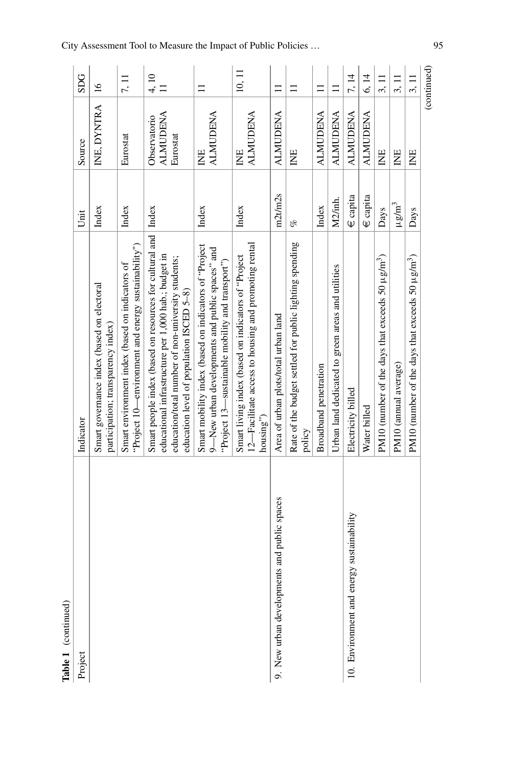| Table 1 (continued)                         |                                                                                                                                                                                                                           |                |                                             |                 |
|---------------------------------------------|---------------------------------------------------------------------------------------------------------------------------------------------------------------------------------------------------------------------------|----------------|---------------------------------------------|-----------------|
| Project                                     | Indicator                                                                                                                                                                                                                 | Unit           | Source                                      | <b>SDG</b>      |
|                                             | Smart governance index (based on electoral<br>participation; transparency index)                                                                                                                                          | Index          | INE, DYNTRA                                 | $\overline{16}$ |
|                                             | "Project 10—environment and energy sustainability")<br>Smart environment index (based on indicators of                                                                                                                    | Index          | Eurostat                                    | 7,11            |
|                                             | Smart people index (based on resources for cultural and   Index<br>educational infrastructure per 1,000 hab.; budget in<br>education/total number of non-university students;<br>education level of population ISCED 5-8) |                | <b>ALMUDENA</b><br>Observatorio<br>Eurostat | 4,10            |
|                                             | Smart mobility index (based on indicators of "Project<br>9—New urban developments and public spaces" and<br>"Project 13—sustainable mobility and transport")                                                              | Index          | <b>ALMUDENA</b><br>岂                        | Ξ               |
|                                             | 12-Facilitate access to housing and promoting rental<br>Smart living index (based on indicators of "Project<br>housing")                                                                                                  | Index          | <b>ALMUDENA</b><br>岂                        | 10, 11          |
| 9. New urban developments and public spaces | Area of urban plots/total urban land                                                                                                                                                                                      | m2t/m2s        | <b>ALMUDENA</b>                             | Ξ               |
|                                             | Rate of the budget settled for public lighting spending<br>policy                                                                                                                                                         | of             | ΙNΕ                                         | コ               |
|                                             | Broadband penetration                                                                                                                                                                                                     | Index          | <b>ALMUDENA</b>                             | $\Xi$           |
|                                             | Urban land dedicated to green areas and utilities                                                                                                                                                                         | M2/inh.        | <b>ALMUDENA</b>                             |                 |
| 10. Environment and energy sustainability   | Electricity billed                                                                                                                                                                                                        | $\in$ capita   | <b>ALMUDENA</b>                             | 7, 14           |
|                                             | Water billed                                                                                                                                                                                                              | $\in$ capita   | <b>ALMUDENA</b>                             | 6, 14           |
|                                             | PM10 (number of the days that exceeds 50 $\mu$ g/m <sup>3</sup> )                                                                                                                                                         | Days           | Ë                                           | 3, 11           |
|                                             | PM10 (annual average)                                                                                                                                                                                                     | $\mu$ g/m $^3$ | Ë                                           | 3, 11           |
|                                             | PM10 (number of the days that exceeds 50 $\mu$ g/m <sup>3</sup> )                                                                                                                                                         | Days           | E                                           | 3,11            |
|                                             |                                                                                                                                                                                                                           |                |                                             | (continued)     |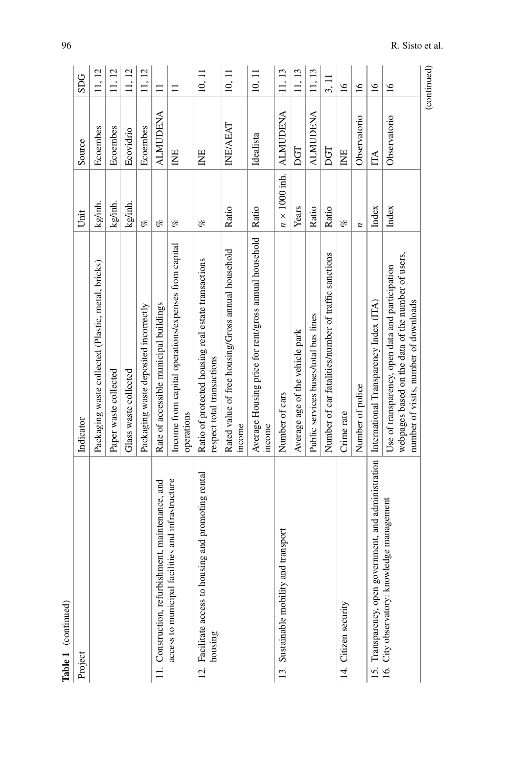| Table 1 (continued)                                                 |                                                                                                                                                 |                      |                 |                 |
|---------------------------------------------------------------------|-------------------------------------------------------------------------------------------------------------------------------------------------|----------------------|-----------------|-----------------|
| Project                                                             | Indicator                                                                                                                                       | Unit                 | Source          | <b>SDG</b>      |
|                                                                     | Packaging waste collected (Plastic, metal, bricks)                                                                                              | kg/inh.              | Ecoembes        | 11, 12          |
|                                                                     | Paper waste collected                                                                                                                           | kg/inh.              | Ecoembes        | 11, 12          |
|                                                                     | Glass waste collected                                                                                                                           | kg/inh.              | Ecovidrio       | 11, 12          |
|                                                                     | Packaging waste deposited incorrectly                                                                                                           | of                   | Ecoembes        | 11, 12          |
| 11. Construction, refurbishment, maintenance, and                   | Rate of accessible municipal buildings                                                                                                          | of                   | <b>ALMUDENA</b> | $\Box$          |
| facilities and infrastructure<br>access to municipal                | Income from capital operations/expenses from capital<br>operations                                                                              | oz                   | E               |                 |
| housing and promoting rental<br>12. Facilitate access to<br>housing | Ratio of protected housing real estate transactions<br>respect total transactions                                                               | of                   | Ë               | 10, 11          |
|                                                                     | Rated value of free housing/Gross annual household<br>income                                                                                    | Ratio                | <b>INE/AEAT</b> | 10, 11          |
|                                                                     | Average Housing price for rent/gross annual household<br>income                                                                                 | Ratio                | Idealista       | 10, 11          |
| 13. Sustainable mobility and transport                              | Number of cars                                                                                                                                  | $n \times 1000$ inh. | <b>ALMUDENA</b> | 11, 13          |
|                                                                     | Average age of the vehicle park                                                                                                                 | Years                | DGT             | 11, 13          |
|                                                                     | Public services buses/total bus lines                                                                                                           | Ratio                | <b>ALMUDENA</b> | 11, 13          |
|                                                                     | Number of car fatalities/number of traffic sanctions                                                                                            | Ratio                | DGT             | 3,11            |
| Citizen security<br>4.                                              | Crime rate                                                                                                                                      | of                   | Ë               | $\overline{16}$ |
|                                                                     | Number of police                                                                                                                                | z                    | Observatorio    | $\overline{16}$ |
| government, and administration<br>15. Transparency, open            | International Transparency Index (ITA)                                                                                                          | Index                | IТА             | $\frac{6}{2}$   |
| nowledge management<br>City observatory: kr<br>16.                  | webpages based on the data of the number of users,<br>Use of transparency, open data and participation<br>number of visits, number of downloads | Index                | Observatorio    | $\overline{16}$ |
|                                                                     |                                                                                                                                                 |                      |                 | (continued)     |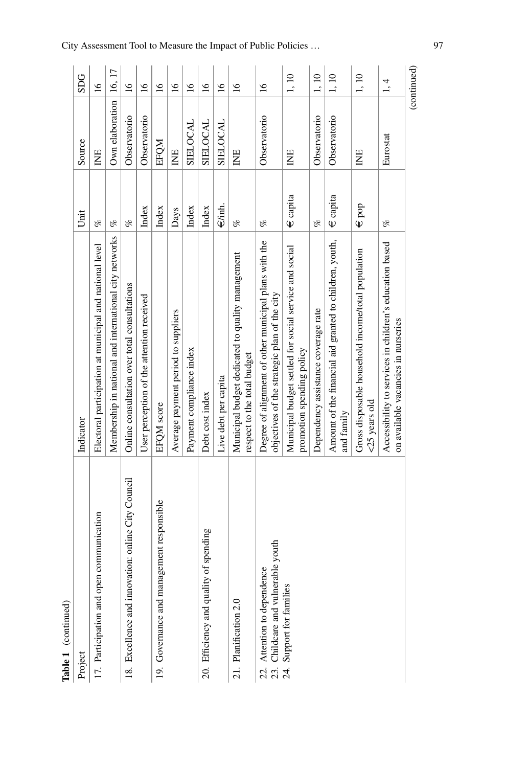| Table 1 (continued)                                               |                                                                                                       |                    |                 |                 |
|-------------------------------------------------------------------|-------------------------------------------------------------------------------------------------------|--------------------|-----------------|-----------------|
| Project                                                           | Indicator                                                                                             | Unit               | Source          | SDG             |
| 17. Participation and open communication                          | Electoral participation at municipal and national level                                               | of                 | Ë               | $\tilde{q}$     |
|                                                                   | Membership in national and international city networks                                                | of                 | Own elaboration | 16, 17          |
| 18. Excellence and innovation: online City Council                | Online consultation over total consultations                                                          | ofo                | Observatorio    | $\overline{16}$ |
|                                                                   | User perception of the attention received                                                             | Index              | Observatorio    | $\overline{16}$ |
| 19. Governance and management responsible                         | EFQM score                                                                                            | Index              | EFQM            | $\tilde{a}$     |
|                                                                   | Average payment period to suppliers                                                                   | Days               | INE             | $\overline{16}$ |
|                                                                   | Payment compliance index                                                                              | Index              | SIELOCAL        | $\tilde{a}$     |
| 20. Efficiency and quality of spending                            | Debt cost index                                                                                       | Index              | SIELOCAL        | $\frac{6}{2}$   |
|                                                                   | Live debt per capita                                                                                  | $\in$ /inh.        | <b>SIELOCAL</b> | $\overline{16}$ |
| 21. Planification 2.0                                             | Municipal budget dedicated to quality management<br>respect to the total budget                       | of                 | Ë               | $\tilde{a}$     |
| 23. Childcare and vulnerable youth<br>22. Attention to dependence | Degree of alignment of other municipal plans with the<br>objectives of the strategic plan of the city | of                 | Observatorio    | $\overline{16}$ |
| Support for families<br>24.                                       | Municipal budget settled for social service and social<br>promotion spending policy                   | $\in$ capita       | INE             | 1,10            |
|                                                                   | Dependency assistance coverage rate                                                                   | of                 | Observatorio    | 1,10            |
|                                                                   | Amount of the financial aid granted to children, youth,<br>and family                                 | $\in$ capita       | Observatorio    | 1,10            |
|                                                                   | Gross disposable household income/total population<br><25 years old                                   | $\mathfrak{S}$ pop | E               | 1,10            |
|                                                                   | Accessibility to services in children's education based<br>on available vacancies in nurseries        | of                 | Eurostat        | 1, 4            |
|                                                                   |                                                                                                       |                    |                 | (continued)     |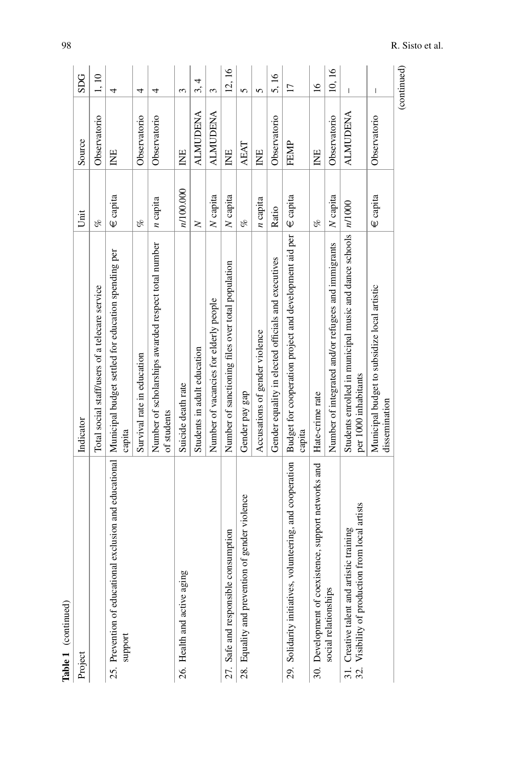| Table 1 (continued)                                                                                                      |                                                                                         |              |                 |                                                                                                                                                                                                                                                                                                                                                                                  |
|--------------------------------------------------------------------------------------------------------------------------|-----------------------------------------------------------------------------------------|--------------|-----------------|----------------------------------------------------------------------------------------------------------------------------------------------------------------------------------------------------------------------------------------------------------------------------------------------------------------------------------------------------------------------------------|
| Project                                                                                                                  | Indicator                                                                               | Unit         | Source          | <b>SDG</b>                                                                                                                                                                                                                                                                                                                                                                       |
|                                                                                                                          | Total social staff/users of a telecare service                                          | of           | Observatorio    | 1, 10                                                                                                                                                                                                                                                                                                                                                                            |
| 25. Prevention of educational exclusion and educational   Municipal budget settled for education spending per<br>support | capita                                                                                  | €capita      | Ë               | 4                                                                                                                                                                                                                                                                                                                                                                                |
|                                                                                                                          | Survival rate in education                                                              | of           | Observatorio    | 4                                                                                                                                                                                                                                                                                                                                                                                |
|                                                                                                                          | Number of scholarships awarded respect total number<br>of students                      | $n$ capita   | Observatorio    | 4                                                                                                                                                                                                                                                                                                                                                                                |
| 26. Health and active aging                                                                                              | Suicide death rate                                                                      | n/100.000    | INE             | 3                                                                                                                                                                                                                                                                                                                                                                                |
|                                                                                                                          | Students in adult education                                                             | $\geq$       | <b>ALMUDENA</b> | 4<br>3,                                                                                                                                                                                                                                                                                                                                                                          |
|                                                                                                                          | Number of vacancies for elderly people                                                  | N capita     | ALMUDENA        | 3                                                                                                                                                                                                                                                                                                                                                                                |
| 27. Safe and responsible consumption                                                                                     | Number of sanctioning files over total population                                       | $N$ capita   | E               | 12, 16                                                                                                                                                                                                                                                                                                                                                                           |
| 28. Equality and prevention of gender violence                                                                           | Gender pay gap                                                                          | of           | <b>AEAT</b>     | 5                                                                                                                                                                                                                                                                                                                                                                                |
|                                                                                                                          | Accusations of gender violence                                                          | $n$ capita   | INE             | 5                                                                                                                                                                                                                                                                                                                                                                                |
|                                                                                                                          | Gender equality in elected officials and executives                                     | Ratio        | Observatorio    | 5,16                                                                                                                                                                                                                                                                                                                                                                             |
| 29. Solidarity initiatives, volunteering, and cooperation                                                                | Budget for cooperation project and development aid per<br>capita                        | $\in$ capita | FEMP            | $\overline{17}$                                                                                                                                                                                                                                                                                                                                                                  |
| 30. Development of coexistence, support networks and                                                                     | Hate-crime rate                                                                         | of           | INE             | $\frac{6}{1}$                                                                                                                                                                                                                                                                                                                                                                    |
| social relationships                                                                                                     | Number of integrated and/or refugees and immigrants                                     | N capita     | Observatorio    | 10, 16                                                                                                                                                                                                                                                                                                                                                                           |
| 32. Visibility of production from local artists<br>31. Creative talent and artistic training                             | Students enrolled in municipal music and dance schools   n/1000<br>per 1000 inhabitants |              | <b>ALMUDENA</b> | $\begin{array}{c} \hline \end{array}$                                                                                                                                                                                                                                                                                                                                            |
|                                                                                                                          | Municipal budget to subsidize local artistic<br>dissemination                           | $\in$ capita | Observatorio    | $\begin{array}{c} \rule{0pt}{2.5ex} \rule{0pt}{2.5ex} \rule{0pt}{2.5ex} \rule{0pt}{2.5ex} \rule{0pt}{2.5ex} \rule{0pt}{2.5ex} \rule{0pt}{2.5ex} \rule{0pt}{2.5ex} \rule{0pt}{2.5ex} \rule{0pt}{2.5ex} \rule{0pt}{2.5ex} \rule{0pt}{2.5ex} \rule{0pt}{2.5ex} \rule{0pt}{2.5ex} \rule{0pt}{2.5ex} \rule{0pt}{2.5ex} \rule{0pt}{2.5ex} \rule{0pt}{2.5ex} \rule{0pt}{2.5ex} \rule{0$ |
|                                                                                                                          |                                                                                         |              |                 | (continued)                                                                                                                                                                                                                                                                                                                                                                      |

J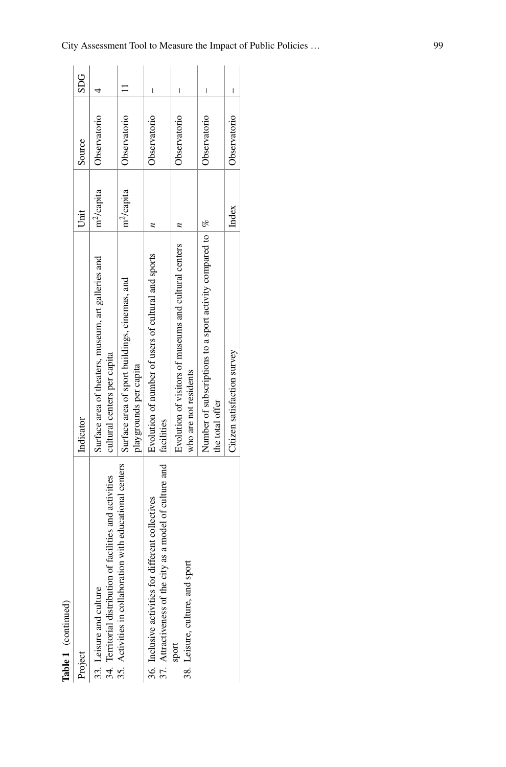| Table 1 (continued)                                                                                                                              |                                                                                          |                        |              |     |
|--------------------------------------------------------------------------------------------------------------------------------------------------|------------------------------------------------------------------------------------------|------------------------|--------------|-----|
| Project                                                                                                                                          | Indicator                                                                                | Unit                   | Source       | SDG |
| 34. Territorial distribution of facilities and activities<br>35. Activities in collaboration with educational centers<br>33. Leisure and culture | Surface area of theaters, museum, art galleries and<br>cultural centers per capita       | m <sup>2</sup> /capita | Observatorio |     |
|                                                                                                                                                  | Surface area of sport buildings, cinemas, and<br>playgrounds per capita                  | m <sup>2</sup> /capita | Observatorio |     |
| 37. Attractiveness of the city as a model of culture and   facilities<br>36. Inclusive activities for different collectives                      | Evolution of number of users of cultural and sports                                      |                        | Observatorio | I   |
| 38. Leisure, culture, and sport<br>sport                                                                                                         | Evolution of visitors of museums and cultural centers<br>who are not residents           |                        | Observatorio | I   |
|                                                                                                                                                  | Number of subscriptions to a sport activity compared to $\frac{1}{6}$<br>the total offer |                        | Observatorio | I   |
|                                                                                                                                                  | Citizen satisfaction survey                                                              | Index                  | Observatorio | I   |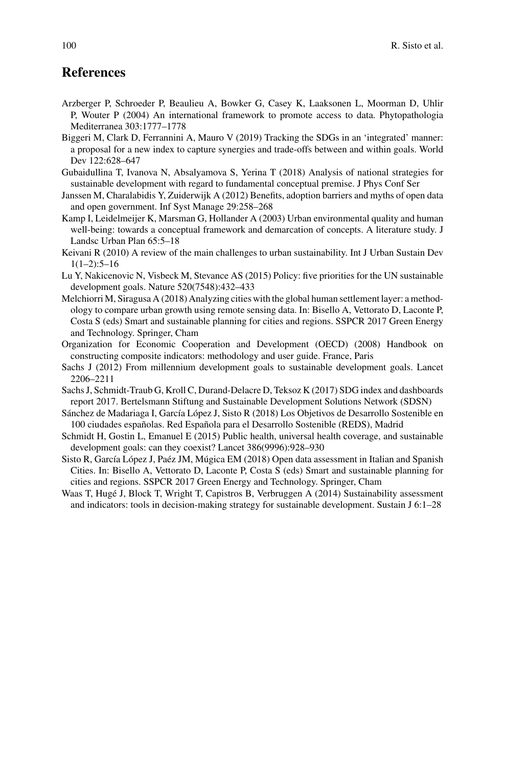## **References**

- <span id="page-19-6"></span>Arzberger P, Schroeder P, Beaulieu A, Bowker G, Casey K, Laaksonen L, Moorman D, Uhlir P, Wouter P (2004) An international framework to promote access to data. Phytopathologia Mediterranea 303:1777–1778
- <span id="page-19-8"></span>Biggeri M, Clark D, Ferrannini A, Mauro V (2019) Tracking the SDGs in an 'integrated' manner: a proposal for a new index to capture synergies and trade-offs between and within goals. World Dev 122:628–647
- <span id="page-19-12"></span>Gubaidullina T, Ivanova N, Absalyamova S, Yerina T (2018) Analysis of national strategies for sustainable development with regard to fundamental conceptual premise. J Phys Conf Ser
- <span id="page-19-5"></span>Janssen M, Charalabidis Y, Zuiderwijk A (2012) Benefits, adoption barriers and myths of open data and open government. Inf Syst Manage 29:258–268
- <span id="page-19-4"></span>Kamp I, Leidelmeijer K, Marsman G, Hollander A (2003) Urban environmental quality and human well-being: towards a conceptual framework and demarcation of concepts. A literature study. J Landsc Urban Plan 65:5–18
- <span id="page-19-0"></span>Keivani R (2010) A review of the main challenges to urban sustainability. Int J Urban Sustain Dev 1(1–2):5–16
- <span id="page-19-2"></span>Lu Y, Nakicenovic N, Visbeck M, Stevance AS (2015) Policy: five priorities for the UN sustainable development goals. Nature 520(7548):432–433
- <span id="page-19-7"></span>Melchiorri M, Siragusa A (2018) Analyzing cities with the global human settlement layer: a methodology to compare urban growth using remote sensing data. In: Bisello A, Vettorato D, Laconte P, Costa S (eds) Smart and sustainable planning for cities and regions. SSPCR 2017 Green Energy and Technology. Springer, Cham
- <span id="page-19-11"></span>Organization for Economic Cooperation and Development (OECD) (2008) Handbook on constructing composite indicators: methodology and user guide. France, Paris
- <span id="page-19-1"></span>Sachs J (2012) From millennium development goals to sustainable development goals. Lancet 2206–2211
- <span id="page-19-9"></span>Sachs J, Schmidt-Traub G, Kroll C, Durand-Delacre D, Teksoz K (2017) SDG index and dashboards report 2017. Bertelsmann Stiftung and Sustainable Development Solutions Network (SDSN)
- <span id="page-19-10"></span>Sánchez de Madariaga I, García López J, Sisto R (2018) Los Objetivos de Desarrollo Sostenible en 100 ciudades españolas. Red Española para el Desarrollo Sostenible (REDS), Madrid
- <span id="page-19-3"></span>Schmidt H, Gostin L, Emanuel E (2015) Public health, universal health coverage, and sustainable development goals: can they coexist? Lancet 386(9996):928–930
- <span id="page-19-13"></span>Sisto R, García López J, Paéz JM, Múgica EM (2018) Open data assessment in Italian and Spanish Cities. In: Bisello A, Vettorato D, Laconte P, Costa S (eds) Smart and sustainable planning for cities and regions. SSPCR 2017 Green Energy and Technology. Springer, Cham
- <span id="page-19-14"></span>Waas T, Hugé J, Block T, Wright T, Capistros B, Verbruggen A (2014) Sustainability assessment and indicators: tools in decision-making strategy for sustainable development. Sustain J 6:1–28